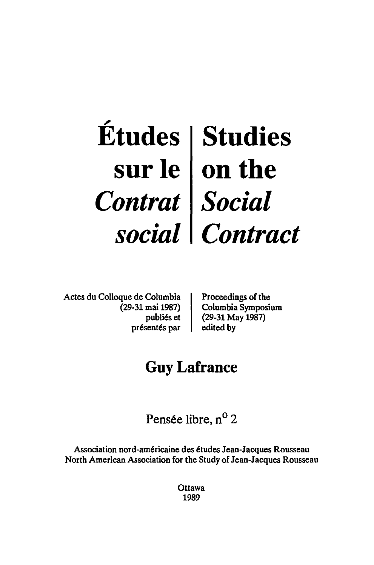## $\acute{\textbf{E}}$ tudes **sur Ie**  *Contrat social*  **Studies on the**  *Social Contract*

Actes du Colloque de Columbia (29-31 mai 1987) publies et présentés par

Proceedings of the Columbia Symposium (29-31 May 1987) edited by

# **Guy Lafrance**

Pensée libre, n<sup>o</sup> 2

Association nord-americaine des etudes Jean-Jacques Rousseau North American Association for the Study of Jean-Jacques Rousseau

> **Ottawa** 1989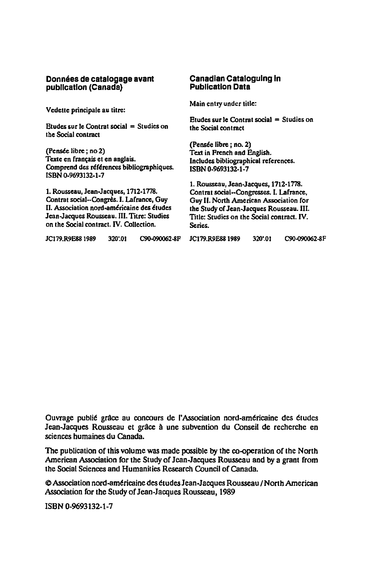#### **Données de catalogage avant publication (Canada)**

Vedette principale au titre:

Etudes sur Ie Contrat social = Studies on the Social contract

(Pensée libre; no 2) Texte en français et en anglais. Comprend des références bibliographiques. ISBN 0.9693132-1-7

1. Rousseau, Jean-Jacques, 1712-1778. Contrat social--Congrès. I. Lafrance, Guy II. Association nord-américaine des études Jean-Jacques Rousseau. 1lI. TItre: Studies on the Social contract. IV. Collection.

### JCJ79.R9E88 1989 320'.0) C90-090062-8F JC179.R9E881989 320'.01 C90.<J90062-8F

#### **Canadian Cataloguing In Publication Data**

Main entry under title:

Etudes sur Ie Contrat social = Studies on the Social contract

(Pensée libre ; no. 2) Text in French and English. Includes bibliographical references. ISBN 0-9693132-1-7

1. Rousseau, Jean-Jacques, 1712-1778. Contrat social--Congresses. I. Lafrance, Guy II. North American Association for the Study of Jean-Jacques Rousseau. Ill. Title: Studies on the Social contract. IV. Series.

| JC179, R9E88 1989 | 320'.01 | C90-090062-8F |
|-------------------|---------|---------------|
|                   |         |               |

Ouvrage publié grâce au concours de l'Association nord-américaine des études Jean-Jacques Rousseau et grâce à une subvention du Conseil de recherche en sciences humaines du Canada.

The publication of this volume was made possible by the co-operation of the North American Association for the Study of Jean-Jacques Rousseau and by a grant from the Social Sciences and Humanities Research Council of Canada.

@Association nord-amtricaine des ttudes Jean-Jacques Rousseau I North American Association for the Study of Jean-Jacques Rousseau, 1989

ISBN 0-9693132-1-7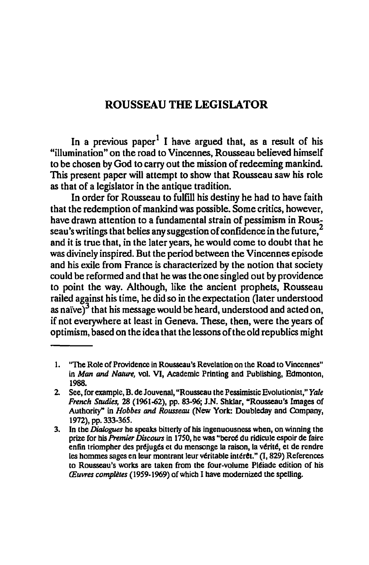## ROUSSEAU THE LEGISLATOR

In a previous paper<sup>1</sup> I have argued that, as a result of his "illumination" on the road to Vincennes, Rousseau believed himself to be chosen by God to carry out the mission of redeeming mankind This present paper will attempt to show that Rousseau saw his role as that of a legislator in the antique tradition.

In order for Rousseau to fulfill his destiny he had to have faith that the redemption of mankind was possible. Some critics, however, have drawn attention to a fundamental strain of pessimism in Rousseau's writings that belies any suggestion of confidence in the future.<sup>2</sup> and it is true that, in the later years, he would come to doubt that he was divinely inspired. But the period between the Vincennes episode and his exile from France is characterized by the notion that society could be reformed and that he was the one singled out by providence to point the way. Although, like the ancient prophets, Rousseau railed against his time, he did so in the expectation (later understood as naïve) $3$  that his message would be heard, understood and acted on, if not everywhere at least in Geneva. These, then, were the years of optimism, based on the idea that the lessons of the old republics might

<sup>1. &#</sup>x27;'The Role of Providence in Rousseau's Revelation on the Road to Vincennes" in *Man* and *Nature,* vol. VI, Academic Printing and Publishing, Edmonton, 1988.

<sup>2.</sup> See, for example, B. de Jouvenal, "Rousseau the Pessimistic Evolutionist," Yale *French Studies,* 28 (1961-62), pp. 83-96; J.N. ShkJar, "Rousseau's Images of Authority" in *Hobbes* and *Rowseau* (New York: Doubleday and Company, 1972), pp. 333-365.

<sup>3.</sup> In tbe *Dialogues* he speaks bitterly of his ingenuousness when, on winning the prize for his *Premier Discours* in 1750, he was "berce du ridicule espoir de faire enfin triompher des préjugés et du mensonge la raison, la vérité, et de rendre les hommes sages en leur montrant leur véritable intérêt." (I, 829) References to Rousseau's works are taken from the four-volume Pléiade edition of his *(Euvres completes* (1959-1969) ofwbich I have modernized the spelling.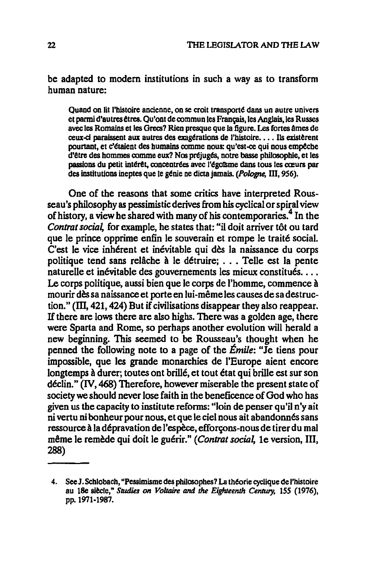be adapted to modern institutions in such a way as to transform human nature:

Quand on lit l'histoire ancienne, on se croit transporté dans un autre univers et parmi d'autres êtres. Qu'ont de commun les Français, les Anglais, les Russes avec les Romains et les Grecs? Rien presque que la figure. Les fortes âmes de ceux-ci paraissent aux autres des exagérations de l'histoire.... Ils existèrent pourtant, et c'étaient des humains comme nous: qu'est-ce qui nous empêche d'être des hommes comme eux? Nos préjugés, notre basse philosophie, et les passions du petit intérêt, concentrées avec l'égoïsme dans tous les cœurs par des institutions inentes que le génie ne dicta jamais. (Pologne, III, 956).

One of the reasons that some critics have interpreted Rousseau's philosophy as pessimistic derives from his cyclical or spiral view of history, a view he shared with many of his contemporaries.<sup>4</sup> In the Contrat social, for example, he states that: "il doit arriver tôt ou tard que le prince opprime enfin le souverain et rompe le traité social. C'est le vice inhérent et inévitable qui dès la naissance du corps politique tend sans relâche à le détruire; ... Telle est la pente naturelle et inévitable des gouvernements les mieux constitués.... Le corps politique, aussi bien que le corps de l'homme, commence à mourir dès sa naissance et porte en lui-même les causes de sa destruction." (III, 421, 424) But if civilisations disappear they also reappear. If there are lows there are also highs. There was a golden age, there were Sparta and Rome, so perhaps another evolution will herald a new beginning. This seemed to be Rousseau's thought when he penned the following note to a page of the *Émile*: "Je tiens pour impossible, que les grande monarchies de l'Europe aient encore longtemps à durer; toutes ont brillé, et tout état qui brille est sur son déclin." (IV, 468) Therefore, however miserable the present state of society we should never lose faith in the beneficence of God who has given us the capacity to institute reforms: "loin de penser qu'il n'y ait ni vertu ni bonheur pour nous, et que le ciel nous ait abandonnés sans ressource à la dépravation de l'espèce, efforçons-nous de tirer du mal même le remède qui doit le guérir." (Contrat social, 1e version, III, 288)

<sup>4.</sup> See J. Schlobach, "Pessimisme des philosophes? La théorie cyclique de l'histoire au 18e siècle," Studies on Voltaire and the Eighteenth Century, 155 (1976), рр. 1971-1987.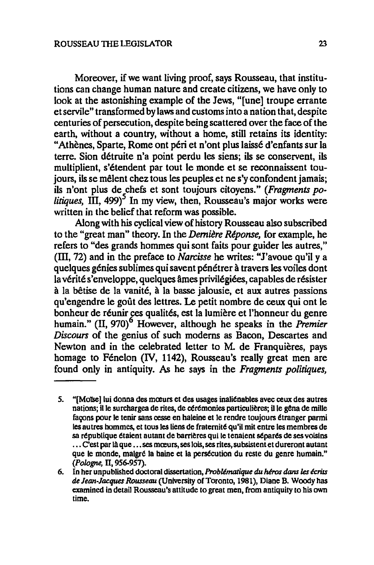Moreover, if we want living proof, says Rousseau, that institutions can change human nature and create citizens, we have only to look at the astonishing example of the Jews, "[une] troupe errante et servile" transformed by laws and customs into a nation that, despite centuries of persecution, despite being scattered over the face of the earth, without a country, without a home, still retains its identity: "Athènes, Sparte, Rome ont péri et n'ont plus laissé d'enfants sur la terre. Sion detruite n'a point perdu les siens; ils se conservent, ils multiplient, s'etendent par tout Ie monde et se reconnaissent toujours, ils se mêlent chez tous les peuples et ne s'y confondent jamais; ils n'ont plus de chefs et sont toujours citoyens." *(Fragments po litiques*, III, 499)<sup>5</sup> In my view, then, Rousseau's major works were written in the belief that reform was possible.

Along with his cyclical view of history Rousseau also subscribed to the "great man" theory. In the *Demiere Reponse,* for example, he refers to "des grands hommes qui sont faits pour guider les autres," (m, 72) and in the preface to *Narcisse* he writes: "J'avoue qu'il y a quelques genies sublimes qui savent penetrer a travers les voiles dont la vérité s'enveloppe, quelques âmes privilégiées, capables de résister a la betise de la vanite, a la basse jalousie, et aux autres passions qu'engendre le goût des lettres. Le petit nombre de ceux qui ont le bonheur de réunir ces qualités, est la lumière et l'honneur du genre humain." (II, 970)<sup>6</sup> However, although he speaks in the *Premier Discours* of the genius of such moderns as Bacon, Descartes and Newton and in the celebrated letter to M. de Franquières, pays homage to Fénelon (IV, 1142), Rousseau's really great men are found only in antiquity. As he says in the *Fragments po/itiques,* 

<sup>5. &</sup>quot;[Moïse] lui donna des mœurs et des usages inaliénables avec ceux des autres nations; il le surchargea de rites, de cérémonies particulières; il le gêna de mille façons pour le tenir sans cesse en haleine et le rendre toujours étranger parmi les autres hommes, et tous les liens de fratemit6 qu'iI mit entre les membres de sa république étaient autant de barrières qui le tenaient séparés de ses voisins ... C'est par là que ... ses mœurs, ses lois, ses rites, subsistent et dureront autant que le monde, malgré la haine et la persécution du reste du genre humain." *(Pologne,* II, 956-957).

<sup>6.</sup> In her unpublished doctoral dissertation, *Problimatique du heros* dons *Ies ecrits*  de *Jean-Jacques Rousseau* (University of Toronto, 1981), Diane B. Woody has examined in detail Rousseau's attitude to great men, from antiquity to his own time.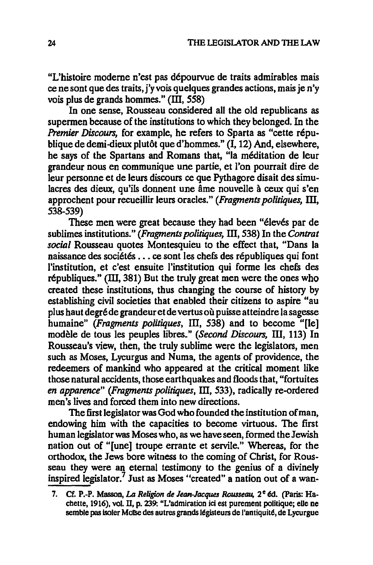"L'histoire moderne n'est pas depourvue de traits admirables mais ce ne sont que des traits, j'y vois quelques grandes actions, mais je n'y vois plus de grands hommes."  $(III, 558)$ 

In one sense, Rousseau considered all the old republicans as supermen because of the institutions to which they belonged. In the *Premier Discours,* for example, he refers to Sparta as "cette republique de demi-dieux plutôt que d'hommes." (I, 12) And, elsewhere, he says of the Spartans and Romans that, "Ia meditation de leur grandeur nous en communique une partie, et I'on pourrait dire de leur personne et de leurs discours ce que Pythagore disait des simulacres des dieux, qu'ils donnent une âme nouvelle à ceux qui s'en approchent pour recueillir leurs oracles." *(Fragments politiques,* m, 538-539)

These men were great because they had been "élevés par de sublimes institutions." *(Fragments politiques,* ill, 538) In the *Contrat social* Rousseau quotes Montesquieu to the effect that, "Dans la naissance des sociétés ... ce sont les chefs des républiques qui font l'institution, et c'est ensuite l'institution qui forme les chefs des républiques." (III, 381) But the truly great men were the ones who created these institutions, thus changing the course of history by establishing civil societies that enabled their citizens to aspire "au plus haut degre de grandeur et de vertus ou puisse atteindre la sagesse humaine" *(Fragments politiques, III, 538)* and to become "[le] modele de tous les peuples libres." *(Second Discours,* III, 113) In Rousseau's view, then, the truly sublime were the legislators, men such as Moses, Lycurgus and Numa, the agents of providence, the redeemers of mankind who appeared at the critical moment like those natural accidents, those earthquakes and floods that, "fortuites *en apparence" (Fragments politiques,* ill, 533), radically re-ordered men's lives and forced them into new directions.

The first legislator was God who founded the institution of man, endowing him with the capacities to become virtuous. The first human legislator was Moses who, as we have seen, formed the Jewish nation out of "[une] troupe errante et servile." Whereas, for the orthodox, the Jews bore witness to the coming of Christ, for Rous· seau they were an eternal testimony to the genius of a divinely inspired legislator.' Just as Moses "created" a nation out of a wan-

<sup>7.</sup> Cf. P.-P. Masson, *La Religion de Jean-Jacques Rousseau*, 2<sup>e</sup> éd. (Paris: Hachette, 1916), vol. II, p. 239: "L'admiration ici est purement politique; elle ne semble pas isoler Moïse des autres grands légisteurs de l'antiquité, de Lycurgue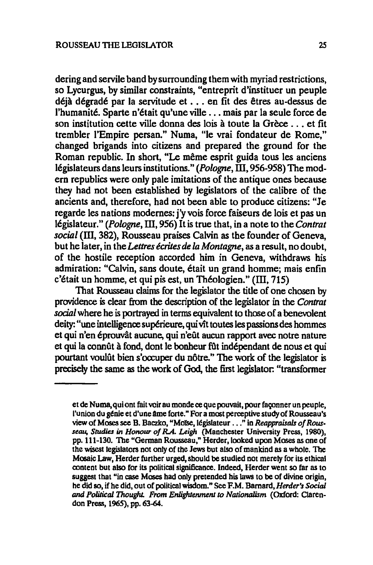dering and servile band by surrounding them with myriad restrictions, so Lycurgus, by similar constraints, "entreprit d'instituer un peuple déjà dégradé par la servitude et ... en fit des êtres au-dessus de l'humanité. Sparte n'était qu'une ville ... mais par la seule force de son institution cette ville donna des lois à toute la Grèce ... et fit trembler I'Empire persan." Numa, "Ie vrai fondateur de Rome," changed brigands into citizens and prepared the ground for the Roman republic. In short, "Le même esprit guida tous les anciens législateurs dans leurs institutions." (Pologne, III, 956-958) The modem republics were only pale imitations of the antique ones because they had not been established by legislators of the calibre of the ancients and, therefore, had not been able to produce citizens: "Je regarde les nations modemes: j'y vois force faiseurs de lois et pas un legislateur." *(Pologne,* m, 956) It is true that, in a note to the *Contrat social* (III, 382), Rousseau praises Calvin as the founder of Geneva, but he later, in the *Lettres ecrites de la Montagne,* as a result, no doubt, of the hostile reception accorded him in Geneva, withdraws his admiration: "Calvin, sans doute, était un grand homme; mais enfin c'était un homme, et qui pis est, un Théologien." (III, 715)

That Rousseau claims for the legislator the title of one chosen by providence is clear from the description of the legislator in the *Contrat social* where he is portrayed in terms equivalent to those of a benevolent deity: "une intelligence superieure, qui vit toutes les passions des hommes et qui n'en eprouvat aucune, qui n'eiit aucun rapport avec notre nature et qui la connût à fond, dont le bonheur fût indépendant de nous et qui pourtant voulût bien s'occuper du nôtre." The work of the legislator is precisely the same as the work of God, the first legislator: "transformer

et de Numa, qui ont fait voir au monde ce que pouvait, pour façonner un peuple, l'union du génie et d'une âme forte." For a most perceptive study of Rousseau's view of Moses see B. Baczko, "Moïse, législateur ..." in *Reappraisals of Rousseau, Studiu* in *Honour 0/ R.A. Leigh* (Manchester University Press, 1980), pp. 111-130. The "German Rousseau," Herder, looked upon Moses as one of the wisest legislators not only of the Jews but also of mankind as a whole. The Mosaic Law, Herder further urged, should be studied not merely for its ethical content but also for its political significance. Indeed, Herder went so far as to suggest that "in case Moses had only pretended his laws to be of divine origin, he did so, if he did, out of political wisdom." See F.M. Barnard, *Herder's Social*  and Political Thought. From Enlightenment to Nationalism (Oxford: Clarendon Press, 1965), pp. 63-64.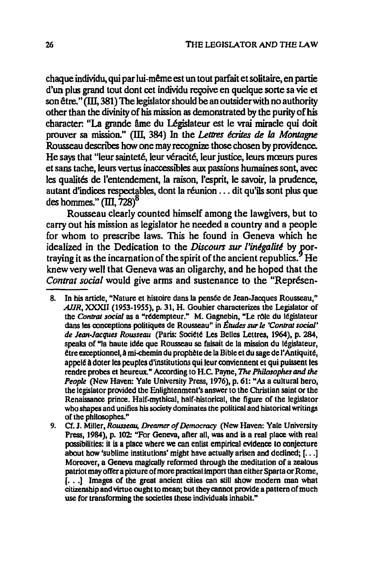chaque individu, qui par lui-même est un tout parfait et solitaire, en partie d'un plus grand tout dont cet individu recoive en quelque sorte sa vie et son être." (III, 381) The legislator should be an outsider with no authority other than the divinity of his mission as demonstrated by the purity of his character: "La grande âme du Législateur est le vrai miracle qui doit prouver sa mission." (III, 384) In the Lettres écrites de la Montagne Rousseau describes how one may recognize those chosen by providence. He says that "leur sainteté, leur véracité, leur justice, leurs mœurs pures et sans tache, leurs vertus inaccessibles aux passions humaines sont, avec les qualités de l'entendement, la raison, l'esprit, le savoir, la prudence, autant d'indices respectables, dont la réunion ... dit qu'ils sont plus que des hommes."  $(III, 728)^8$ 

Rousseau clearly counted himself among the lawgivers, but to carry out his mission as legislator he needed a country and a people for whom to prescribe laws. This he found in Geneva which he idealized in the Dedication to the Discours sur l'inégalité by portraying it as the incarnation of the spirit of the ancient republics.<sup>9</sup> He knew very well that Geneva was an oligarchy, and he hoped that the Contrat social would give arms and sustenance to the "Représen-

- In his article, "Nature et histoire dans la pensée de Jean-Jacques Rousseau," 8. AJJR, XXXII (1953-1955), p. 31, H. Gouhier characterizes the Legislator of the Contrat social as a "rédempteur." M. Gagnebin, "Le rôle du législateur dans les conceptions politiques de Rousseau" in Études sur le 'Contrat social' de Jean-Jacques Rousseau (Paris: Société Les Belles Lettres, 1964), p. 284, speaks of "la haute idée que Rousseau se faisait de la mission du législateur, être exceptionnel, à mi-chemin du prophète de la Bible et du sage de l'Antiquité, appelé à doter les peuples d'institutions qui leur conviennent et qui puissent les rendre probes et heureux." According to H.C. Payne, The Philosophes and the People (New Haven: Yale University Press, 1976), p. 61: "As a cultural hero, the legislator provided the Enlightenment's answer to the Christian saint or the Renaissance prince. Half-mythical, half-historical, the figure of the legislator who shapes and unifies his society dominates the political and historical writings of the philosophes."
- 9. Cf. J. Miller, Rousseau, Dreamer of Democracy (New Haven: Yale University Press, 1984), p. 102: "For Geneva, after all, was and is a real place with real possibilities: it is a place where we can enlist empirical evidence to conjecture about how 'sublime institutions' might have actually arisen and declined;  $[...]$ Moreover, a Geneva magically reformed through the meditation of a zealous patriot may offer a picture of more practical import than either Sparta or Rome, [...] Images of the great ancient cities can still show modern man what citizenship and virtue ought to mean; but they cannot provide a pattern of much use for transforming the societies these individuals inhabit."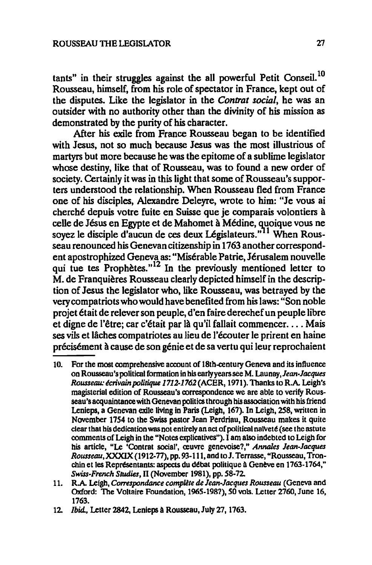tants" in their struggles against the all powerful Petit Conseil.<sup>10</sup> Rousseau, himself, from his role of spectator in France, kept out of the disputes. Like the legislator in the *Contrat social,* he was an outsider with no authority other than the divinity of his mission as demonstrated by the purity of his character.

After his exile from France Rousseau began to be identified with Jesus, not so much because Jesus was the most illustrious of martyrs but more because he was the epitome of a sublime legislator whose destiny, like that of Rousseau, was to found a new order of society. Certainly it was in this light that some of Rousseau's supporters understood the relationship. When Rousseau fled from France one of his disciples, Alexandre Deleyre, wrote to him: "Je vous ai cherche depuis votre fuite en Suisse que je comparais volontiers a celle de Jésus en Egypte et de Mahomet à Médine, quoique vous ne soyez le disciple d'aucun de ces deux Législateurs."<sup>11</sup> When Rousseau renounced his Genevan citizenship in 1763 another correspondent apostrophized Geneva as: "Misérable Patrie, Jérusalem nouvelle qui tue tes Prophètes."<sup>12</sup> In the previously mentioned letter to M. de Franquières Rousseau clearly depicted himself in the description of Jesus the legislator who, like Rousseau, was betrayed by the very compatriots who would have benefited from his laws: "Son noble projet était de relever son peuple, d'en faire derechef un peuple libre et digne de l'être; car c'était par là qu'il fallait commencer.... Mais ses vils et lâches compatriotes au lieu de l'écouter le prirent en haine précisément à cause de son génie et de sa vertu qui leur reprochaient

<sup>10.</sup> For the most comprehensive acrount of 18th-century Geneva and its influence on Rousseau's political formation in his earlyyears see M. *Launay,Jean.Jacques*  Rousseau: écrivain politique 1712-1762 (ACER, 1971). Thanks to R.A. Leigh's magisterial edition of Rousseau's correspondence we are able to verify Rousseau's acquaintance with Genevan politics through his association with his friend Lenieps, a Genevan exile living in Paris (Leigh, 167). In Leigh, 258, written in November 1754 to the Swiss pastor Jean Perdriau, Rousseau makes it quite clear that his dedication was not entirely an act of political nalveté (see the astute comments of Leigh in the "Notes explicativcs").1 am also indebted to Leigh for his article, "Le 'Contrat social', œuvre genevoise?," Annales Jean-Jacques Rousseau, XXXIX (1912-77), pp. 93-111, and to J. Terrasse, "Rousseau, Tronchin et les Représentants: aspects du débat politique à Genève en 1763-1764," *Swiss-French Studies,* n (November 1981), pp. 58-72.

<sup>11.</sup> RA Leigh, *Comspondance compUte* de *Jean-Jacques Rousseau* (Geneva and Oxford: The Voltaire Foundation, 1965-1987), 50 vols. Letter 2760, June 16, 1763.

*<sup>12.</sup> Ibid.,* Letter 2842, Lenieps A Rousseau, July 27, 1763.